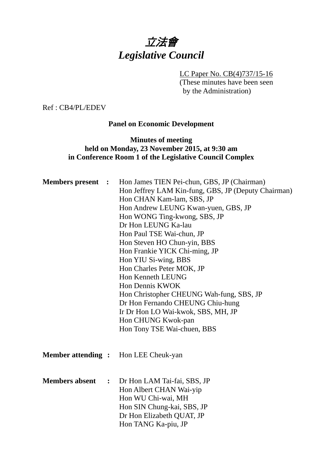# 立法會 *Legislative Council*

#### LC Paper No. CB(4)737/15-16

(These minutes have been seen by the Administration)

Ref : CB4/PL/EDEV

# **Panel on Economic Development**

## **Minutes of meeting held on Monday, 23 November 2015, at 9:30 am in Conference Room 1 of the Legislative Council Complex**

| <b>Members</b> present | $\ddot{\phantom{1}}$ | Hon James TIEN Pei-chun, GBS, JP (Chairman)<br>Hon Jeffrey LAM Kin-fung, GBS, JP (Deputy Chairman)<br>Hon CHAN Kam-lam, SBS, JP<br>Hon Andrew LEUNG Kwan-yuen, GBS, JP<br>Hon WONG Ting-kwong, SBS, JP<br>Dr Hon LEUNG Ka-lau<br>Hon Paul TSE Wai-chun, JP<br>Hon Steven HO Chun-yin, BBS<br>Hon Frankie YICK Chi-ming, JP<br>Hon YIU Si-wing, BBS<br>Hon Charles Peter MOK, JP<br>Hon Kenneth LEUNG<br>Hon Dennis KWOK<br>Hon Christopher CHEUNG Wah-fung, SBS, JP<br>Dr Hon Fernando CHEUNG Chiu-hung<br>Ir Dr Hon LO Wai-kwok, SBS, MH, JP<br>Hon CHUNG Kwok-pan<br>Hon Tony TSE Wai-chuen, BBS |
|------------------------|----------------------|----------------------------------------------------------------------------------------------------------------------------------------------------------------------------------------------------------------------------------------------------------------------------------------------------------------------------------------------------------------------------------------------------------------------------------------------------------------------------------------------------------------------------------------------------------------------------------------------------|
|                        |                      | <b>Member attending :</b> Hon LEE Cheuk-yan                                                                                                                                                                                                                                                                                                                                                                                                                                                                                                                                                        |
| <b>Members absent</b>  | $\ddot{\cdot}$       | Dr Hon LAM Tai-fai, SBS, JP<br>Hon Albert CHAN Wai-yip<br>Hon WU Chi-wai, MH<br>Hon SIN Chung-kai, SBS, JP<br>Dr Hon Elizabeth QUAT, JP<br>Hon TANG Ka-piu, JP                                                                                                                                                                                                                                                                                                                                                                                                                                     |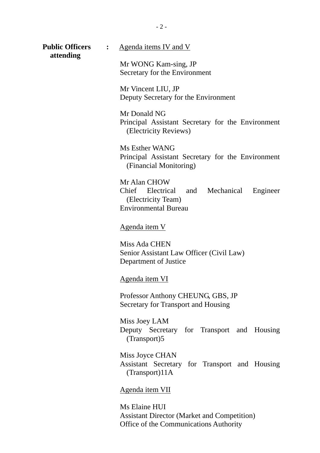| <b>Public Officers</b><br>attending | $\ddot{\cdot}$ | Agenda items IV and V                                                                                            |
|-------------------------------------|----------------|------------------------------------------------------------------------------------------------------------------|
|                                     |                | Mr WONG Kam-sing, JP<br>Secretary for the Environment                                                            |
|                                     |                | Mr Vincent LIU, JP<br>Deputy Secretary for the Environment                                                       |
|                                     |                | Mr Donald NG<br>Principal Assistant Secretary for the Environment<br>(Electricity Reviews)                       |
|                                     |                | Ms Esther WANG<br>Principal Assistant Secretary for the Environment<br>(Financial Monitoring)                    |
|                                     |                | Mr Alan CHOW<br>Chief Electrical and Mechanical<br>Engineer<br>(Electricity Team)<br><b>Environmental Bureau</b> |
|                                     |                | <u>Agenda item V</u>                                                                                             |
|                                     |                | Miss Ada CHEN<br>Senior Assistant Law Officer (Civil Law)<br>Department of Justice                               |
|                                     |                | Agenda item VI                                                                                                   |
|                                     |                | Professor Anthony CHEUNG, GBS, JP<br>Secretary for Transport and Housing                                         |
|                                     |                | Miss Joey LAM<br>Deputy Secretary for Transport and Housing<br>(Transport)5                                      |
|                                     |                | Miss Joyce CHAN                                                                                                  |

Assistant Secretary for Transport and Housing (Transport)11A

Agenda item VII

Ms Elaine HUI Assistant Director (Market and Competition) Office of the Communications Authority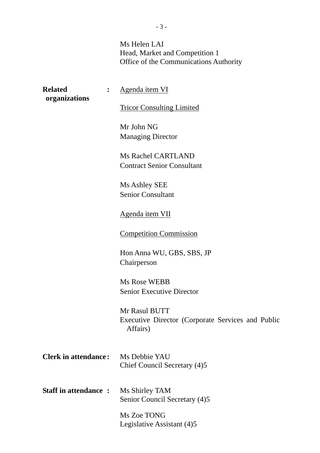Ms Helen LAI Head, Market and Competition 1 Office of the Communications Authority

| <b>Related</b><br>organizations | Agenda item VI                                                                 |
|---------------------------------|--------------------------------------------------------------------------------|
|                                 | <b>Tricor Consulting Limited</b>                                               |
|                                 | Mr John NG<br><b>Managing Director</b>                                         |
|                                 | <b>Ms Rachel CARTLAND</b><br><b>Contract Senior Consultant</b>                 |
|                                 | Ms Ashley SEE<br><b>Senior Consultant</b>                                      |
|                                 | Agenda item VII                                                                |
|                                 | <b>Competition Commission</b>                                                  |
|                                 | Hon Anna WU, GBS, SBS, JP<br>Chairperson                                       |
|                                 | <b>Ms Rose WEBB</b><br><b>Senior Executive Director</b>                        |
|                                 | Mr Rasul BUTT<br>Executive Director (Corporate Services and Public<br>Affairs) |
| <b>Clerk in attendance:</b>     | Ms Debbie YAU<br>Chief Council Secretary (4)5                                  |
| <b>Staff in attendance:</b>     | Ms Shirley TAM<br>Senior Council Secretary (4)5                                |
|                                 | Ms Zoe TONG<br>Legislative Assistant (4)5                                      |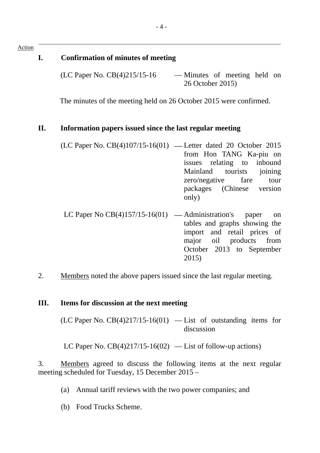# **I. Confirmation of minutes of meeting**

(LC Paper No. CB(4)215/15-16 — Minutes of meeting held on 26 October 2015)

The minutes of the meeting held on 26 October 2015 were confirmed.

## **II. Information papers issued since the last regular meeting**

| (LC Paper No. CB(4)107/15-16(01) — Letter dated 20 October 2015 |                            |  |
|-----------------------------------------------------------------|----------------------------|--|
|                                                                 | from Hon TANG Ka-piu on    |  |
|                                                                 | issues relating to inbound |  |
|                                                                 | Mainland tourists joining  |  |
|                                                                 | zero/negative fare tour    |  |
|                                                                 | packages (Chinese version  |  |
|                                                                 | only)                      |  |

- LC Paper No  $CB(4)157/15-16(01)$  Administration's paper on tables and graphs showing the import and retail prices of major oil products from October 2013 to September 2015)
- 2. Members noted the above papers issued since the last regular meeting.

## **III. Items for discussion at the next meeting**

 $(LC$  Paper No.  $CB(4)217/15-16(01)$  — List of outstanding items for discussion

LC Paper No.  $CB(4)217/15-16(02)$  — List of follow-up actions)

3. Members agreed to discuss the following items at the next regular meeting scheduled for Tuesday, 15 December 2015 –

- (a) Annual tariff reviews with the two power companies; and
- (b) Food Trucks Scheme.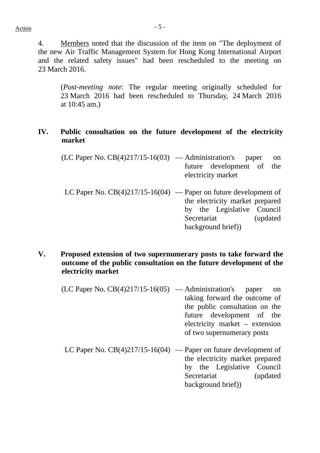4. Members noted that the discussion of the item on "The deployment of the new Air Traffic Management System for Hong Kong International Airport and the related safety issues" had been rescheduled to the meeting on 23 March 2016.

(*Post-meeting note*: The regular meeting originally scheduled for 23 March 2016 had been rescheduled to Thursday, 24 March 2016 at 10:45 am.)

## **IV. Public consultation on the future development of the electricity market**

| $(LC$ Paper No. $CB(4)217/15-16(03)$ — Administration's            | paper<br>future development of<br>electricity market                                              | on<br>the |
|--------------------------------------------------------------------|---------------------------------------------------------------------------------------------------|-----------|
| LC Paper No. $CB(4)217/15-16(04)$ — Paper on future development of | the electricity market prepared<br>by the Legislative Council<br>Secretariat<br>background brief) | (updated) |

- **V. Proposed extension of two supernumerary posts to take forward the outcome of the public consultation on the future development of the electricity market** 
	- $(LC$  Paper No.  $CB(4)217/15-16(05)$  Administration's paper on taking forward the outcome of the public consultation on the future development of the electricity market – extension of two supernumerary posts
	- LC Paper No.  $CB(4)217/15-16(04)$  Paper on future development of the electricity market prepared by the Legislative Council Secretariat (updated) background brief))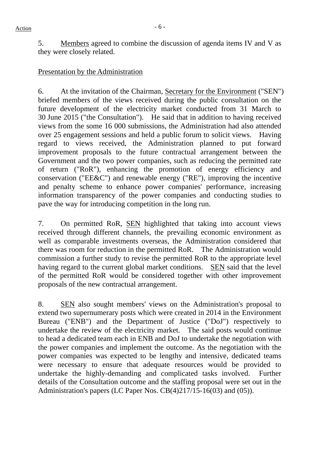5. Members agreed to combine the discussion of agenda items IV and V as they were closely related.

#### Presentation by the Administration

6. At the invitation of the Chairman, Secretary for the Environment ("SEN") briefed members of the views received during the public consultation on the future development of the electricity market conducted from 31 March to 30 June 2015 ("the Consultation"). He said that in addition to having received views from the some 16 000 submissions, the Administration had also attended over 25 engagement sessions and held a public forum to solicit views. Having regard to views received, the Administration planned to put forward improvement proposals to the future contractual arrangement between the Government and the two power companies, such as reducing the permitted rate of return ("RoR"), enhancing the promotion of energy efficiency and conservation ("EE&C") and renewable energy ("RE"), improving the incentive and penalty scheme to enhance power companies' performance, increasing information transparency of the power companies and conducting studies to pave the way for introducing competition in the long run.

7. On permitted RoR, SEN highlighted that taking into account views received through different channels, the prevailing economic environment as well as comparable investments overseas, the Administration considered that there was room for reduction in the permitted RoR. The Administration would commission a further study to revise the permitted RoR to the appropriate level having regard to the current global market conditions. SEN said that the level of the permitted RoR would be considered together with other improvement proposals of the new contractual arrangement.

8. SEN also sought members' views on the Administration's proposal to extend two supernumerary posts which were created in 2014 in the Environment Bureau ("ENB") and the Department of Justice ("DoJ") respectively to undertake the review of the electricity market. The said posts would continue to head a dedicated team each in ENB and DoJ to undertake the negotiation with the power companies and implement the outcome. As the negotiation with the power companies was expected to be lengthy and intensive, dedicated teams were necessary to ensure that adequate resources would be provided to undertake the highly-demanding and complicated tasks involved. Further details of the Consultation outcome and the staffing proposal were set out in the Administration's papers (LC Paper Nos. CB(4)217/15-16(03) and (05)).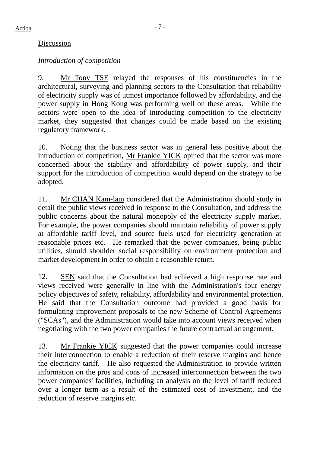## Discussion

## *Introduction of competition*

9. Mr Tony TSE relayed the responses of his constituencies in the architectural, surveying and planning sectors to the Consultation that reliability of electricity supply was of utmost importance followed by affordability, and the power supply in Hong Kong was performing well on these areas. While the sectors were open to the idea of introducing competition to the electricity market, they suggested that changes could be made based on the existing regulatory framework.

10. Noting that the business sector was in general less positive about the introduction of competition, Mr Frankie YICK opined that the sector was more concerned about the stability and affordability of power supply, and their support for the introduction of competition would depend on the strategy to be adopted.

11. Mr CHAN Kam-lam considered that the Administration should study in detail the public views received in response to the Consultation, and address the public concerns about the natural monopoly of the electricity supply market. For example, the power companies should maintain reliability of power supply at affordable tariff level, and source fuels used for electricity generation at reasonable prices etc. He remarked that the power companies, being public utilities, should shoulder social responsibility on environment protection and market development in order to obtain a reasonable return.

12. SEN said that the Consultation had achieved a high response rate and views received were generally in line with the Administration's four energy policy objectives of safety, reliability, affordability and environmental protection. He said that the Consultation outcome had provided a good basis for formulating improvement proposals to the new Scheme of Control Agreements ("SCAs"), and the Administration would take into account views received when negotiating with the two power companies the future contractual arrangement.

13. Mr Frankie YICK suggested that the power companies could increase their interconnection to enable a reduction of their reserve margins and hence the electricity tariff. He also requested the Administration to provide written information on the pros and cons of increased interconnection between the two power companies' facilities, including an analysis on the level of tariff reduced over a longer term as a result of the estimated cost of investment, and the reduction of reserve margins etc.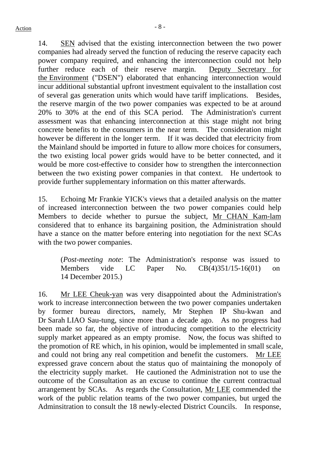14. SEN advised that the existing interconnection between the two power companies had already served the function of reducing the reserve capacity each power company required, and enhancing the interconnection could not help further reduce each of their reserve margin. Deputy Secretary for the Environment ("DSEN") elaborated that enhancing interconnection would incur additional substantial upfront investment equivalent to the installation cost of several gas generation units which would have tariff implications. Besides, the reserve margin of the two power companies was expected to be at around 20% to 30% at the end of this SCA period. The Administration's current assessment was that enhancing interconnection at this stage might not bring concrete benefits to the consumers in the near term. The consideration might however be different in the longer term. If it was decided that electricity from the Mainland should be imported in future to allow more choices for consumers, the two existing local power grids would have to be better connected, and it would be more cost-effective to consider how to strengthen the interconnection between the two existing power companies in that context. He undertook to provide further supplementary information on this matter afterwards.

15. Echoing Mr Frankie YICK's views that a detailed analysis on the matter of increased interconnection between the two power companies could help Members to decide whether to pursue the subject, Mr CHAN Kam-lam considered that to enhance its bargaining position, the Administration should have a stance on the matter before entering into negotiation for the next SCAs with the two power companies.

(*Post-meeting note*: The Administration's response was issued to Members vide LC Paper No. CB(4)351/15-16(01) on 14 December 2015.)

16. Mr LEE Cheuk-yan was very disappointed about the Administration's work to increase interconnection between the two power companies undertaken by former bureau directors, namely, Mr Stephen IP Shu-kwan and Dr Sarah LIAO Sau-tung, since more than a decade ago. As no progress had been made so far, the objective of introducing competition to the electricity supply market appeared as an empty promise. Now, the focus was shifted to the promotion of RE which, in his opinion, would be implemented in small scale, and could not bring any real competition and benefit the customers. Mr LEE expressed grave concern about the status quo of maintaining the monopoly of the electricity supply market. He cautioned the Administration not to use the outcome of the Consultation as an excuse to continue the current contractual arrangement by SCAs. As regards the Consultation, Mr LEE commended the work of the public relation teams of the two power companies, but urged the Adminsitration to consult the 18 newly-elected District Councils. In response,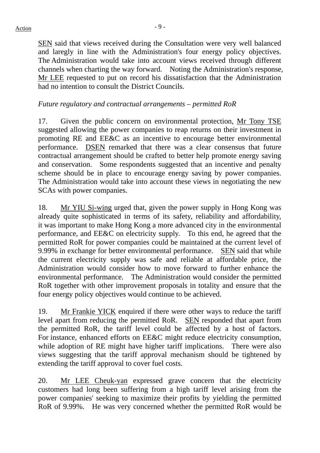SEN said that views received during the Consultation were very well balanced and laregly in line with the Administration's four energy policy objectives. The Administration would take into account views received through different channels when charting the way forward. Noting the Administration's response, Mr LEE requested to put on record his dissatisfaction that the Administration had no intention to consult the District Councils.

#### *Future regulatory and contractual arrangements – permitted RoR*

17. Given the public concern on environmental protection, Mr Tony TSE suggested allowing the power companies to reap returns on their investment in promoting RE and EE&C as an incentive to encourage better environmental performance. DSEN remarked that there was a clear consensus that future contractual arrangement should be crafted to better help promote energy saving and conservation. Some respondents suggested that an incentive and penalty scheme should be in place to encourage energy saving by power companies. The Administration would take into account these views in negotiating the new SCAs with power companies.

18. Mr YIU Si-wing urged that, given the power supply in Hong Kong was already quite sophisticated in terms of its safety, reliability and affordability, it was important to make Hong Kong a more advanced city in the environmental performance, and EE&C on electricity supply. To this end, he agreed that the permitted RoR for power companies could be maintained at the current level of 9.99% in exchange for better environmental performance. SEN said that while the current electricity supply was safe and reliable at affordable price, the Administration would consider how to move forward to further enhance the environmental performance. The Administration would consider the permitted RoR together with other improvement proposals in totality and ensure that the four energy policy objectives would continue to be achieved.

19. Mr Frankie YICK enquired if there were other ways to reduce the tariff level apart from reducing the permitted RoR. SEN responded that apart from the permitted RoR, the tariff level could be affected by a host of factors. For instance, enhanced efforts on EE&C might reduce electricity consumption, while adoption of RE might have higher tariff implications. There were also views suggesting that the tariff approval mechanism should be tightened by extending the tariff approval to cover fuel costs.

20. Mr LEE Cheuk-yan expressed grave concern that the electricity customers had long been suffering from a high tariff level arising from the power companies' seeking to maximize their profits by yielding the permitted RoR of 9.99%. He was very concerned whether the permitted RoR would be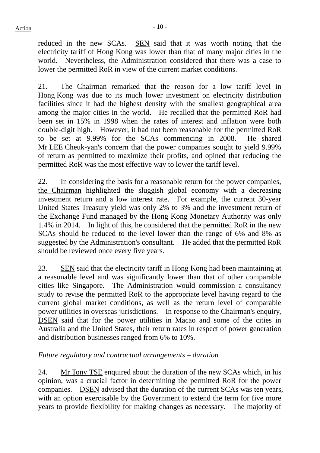reduced in the new SCAs. SEN said that it was worth noting that the electricity tariff of Hong Kong was lower than that of many major cities in the world. Nevertheless, the Administration considered that there was a case to lower the permitted RoR in view of the current market conditions.

21. The Chairman remarked that the reason for a low tariff level in Hong Kong was due to its much lower investment on electricity distribution facilities since it had the highest density with the smallest geographical area among the major cities in the world. He recalled that the permitted RoR had been set in 15% in 1998 when the rates of interest and inflation were both double-digit high. However, it had not been reasonable for the permitted RoR to be set at 9.99% for the SCAs commencing in 2008. He shared Mr LEE Cheuk-yan's concern that the power companies sought to yield 9.99% of return as permitted to maximize their profits, and opined that reducing the permitted RoR was the most effective way to lower the tariff level.

22. In considering the basis for a reasonable return for the power companies, the Chairman highlighted the sluggish global economy with a decreasing investment return and a low interest rate. For example, the current 30-year United States Treasury yield was only 2% to 3% and the investment return of the Exchange Fund managed by the Hong Kong Monetary Authority was only 1.4% in 2014. In light of this, he considered that the permitted RoR in the new SCAs should be reduced to the level lower than the range of 6% and 8% as suggested by the Administration's consultant. He added that the permitted RoR should be reviewed once every five years.

23. SEN said that the electricity tariff in Hong Kong had been maintaining at a reasonable level and was significantly lower than that of other comparable cities like Singapore. The Administration would commission a consultancy study to revise the permitted RoR to the appropriate level having regard to the current global market conditions, as well as the return level of comparable power utilities in overseas jurisdictions. In response to the Chairman's enquiry, DSEN said that for the power utilities in Macao and some of the cities in Australia and the United States, their return rates in respect of power generation and distribution businesses ranged from 6% to 10%.

## *Future regulatory and contractual arrangements – duration*

24. Mr Tony TSE enquired about the duration of the new SCAs which, in his opinion, was a crucial factor in determining the permitted RoR for the power companies. DSEN advised that the duration of the current SCAs was ten years, with an option exercisable by the Government to extend the term for five more years to provide flexibility for making changes as necessary. The majority of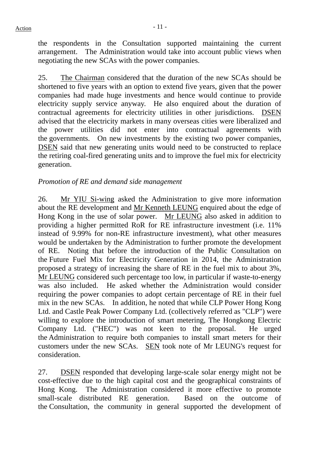the respondents in the Consultation supported maintaining the current arrangement. The Administration would take into account public views when negotiating the new SCAs with the power companies.

25. The Chairman considered that the duration of the new SCAs should be shortened to five years with an option to extend five years, given that the power companies had made huge investments and hence would continue to provide electricity supply service anyway. He also enquired about the duration of contractual agreements for electricity utilities in other jurisdictions. DSEN advised that the electricity markets in many overseas cities were liberalized and the power utilities did not enter into contractual agreements with the governments. On new investments by the existing two power companies, DSEN said that new generating units would need to be constructed to replace the retiring coal-fired generating units and to improve the fuel mix for electricity generation.

## *Promotion of RE and demand side management*

26. Mr YIU Si-wing asked the Administration to give more information about the RE development and Mr Kenneth LEUNG enquired about the edge of Hong Kong in the use of solar power. Mr LEUNG also asked in addition to providing a higher permitted RoR for RE infrastructure investment (i.e. 11% instead of 9.99% for non-RE infrastructure investment), what other measures would be undertaken by the Administration to further promote the development of RE. Noting that before the introduction of the Public Consultation on the Future Fuel Mix for Electricity Generation in 2014, the Administration proposed a strategy of increasing the share of RE in the fuel mix to about 3%, Mr LEUNG considered such percentage too low, in particular if waste-to-energy was also included. He asked whether the Administration would consider requiring the power companies to adopt certain percentage of RE in their fuel mix in the new SCAs. In addition, he noted that while CLP Power Hong Kong Ltd. and Castle Peak Power Company Ltd. (collectively referred as "CLP") were willing to explore the introduction of smart metering, The Hongkong Electric Company Ltd. ("HEC") was not keen to the proposal. He urged the Administration to require both companies to install smart meters for their customers under the new SCAs. SEN took note of Mr LEUNG's request for consideration.

27. DSEN responded that developing large-scale solar energy might not be cost-effective due to the high capital cost and the geographical constraints of Hong Kong. The Administration considered it more effective to promote small-scale distributed RE generation. Based on the outcome of the Consultation, the community in general supported the development of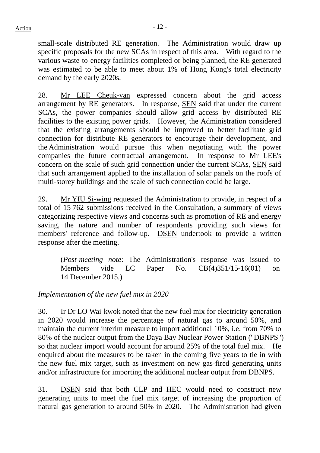small-scale distributed RE generation. The Administration would draw up specific proposals for the new SCAs in respect of this area. With regard to the various waste-to-energy facilities completed or being planned, the RE generated was estimated to be able to meet about 1% of Hong Kong's total electricity demand by the early 2020s.

28. Mr LEE Cheuk-yan expressed concern about the grid access arrangement by RE generators. In response, SEN said that under the current SCAs, the power companies should allow grid access by distributed RE facilities to the existing power grids. However, the Administration considered that the existing arrangements should be improved to better facilitate grid connection for distribute RE generators to encourage their development, and the Administration would pursue this when negotiating with the power companies the future contractual arrangement. In response to Mr LEE's concern on the scale of such grid connection under the current SCAs, SEN said that such arrangement applied to the installation of solar panels on the roofs of multi-storey buildings and the scale of such connection could be large.

29. Mr YIU Si-wing requested the Administration to provide, in respect of a total of 15 762 submissions received in the Consultation, a summary of views categorizing respective views and concerns such as promotion of RE and energy saving, the nature and number of respondents providing such views for members' reference and follow-up. DSEN undertook to provide a written response after the meeting.

(*Post-meeting note*: The Administration's response was issued to Members vide LC Paper No. CB(4)351/15-16(01) on 14 December 2015.)

*Implementation of the new fuel mix in 2020* 

30. Ir Dr LO Wai-kwok noted that the new fuel mix for electricity generation in 2020 would increase the percentage of natural gas to around 50%, and maintain the current interim measure to import additional 10%, i.e. from 70% to 80% of the nuclear output from the Daya Bay Nuclear Power Station ("DBNPS") so that nuclear import would account for around 25% of the total fuel mix. He enquired about the measures to be taken in the coming five years to tie in with the new fuel mix target, such as investment on new gas-fired generating units and/or infrastructure for importing the additional nuclear output from DBNPS.

31. DSEN said that both CLP and HEC would need to construct new generating units to meet the fuel mix target of increasing the proportion of natural gas generation to around 50% in 2020. The Administration had given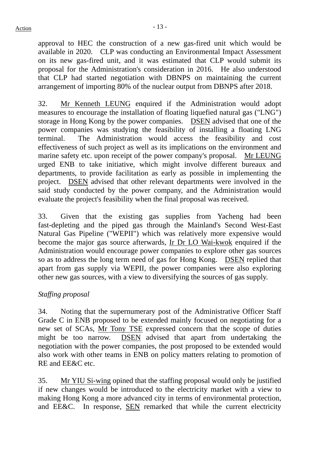approval to HEC the construction of a new gas-fired unit which would be available in 2020. CLP was conducting an Environmental Impact Assessment on its new gas-fired unit, and it was estimated that CLP would submit its proposal for the Administration's consideration in 2016. He also understood that CLP had started negotiation with DBNPS on maintaining the current arrangement of importing 80% of the nuclear output from DBNPS after 2018.

32. Mr Kenneth LEUNG enquired if the Administration would adopt measures to encourage the installation of floating liquefied natural gas ("LNG") storage in Hong Kong by the power companies. DSEN advised that one of the power companies was studying the feasibility of installing a floating LNG terminal. The Administration would access the feasibility and cost effectiveness of such project as well as its implications on the environment and marine safety etc. upon receipt of the power company's proposal. Mr LEUNG urged ENB to take initiative, which might involve different bureaux and departments, to provide facilitation as early as possible in implementing the project. DSEN advised that other relevant departments were involved in the said study conducted by the power company, and the Administration would evaluate the project's feasibility when the final proposal was received.

33. Given that the existing gas supplies from Yacheng had been fast-depleting and the piped gas through the Mainland's Second West-East Natural Gas Pipeline ("WEPII") which was relatively more expensive would become the major gas source afterwards, Ir Dr LO Wai-kwok enquired if the Administration would encourage power companies to explore other gas sources so as to address the long term need of gas for Hong Kong. DSEN replied that apart from gas supply via WEPII, the power companies were also exploring other new gas sources, with a view to diversifying the sources of gas supply.

#### *Staffing proposal*

34. Noting that the supernumerary post of the Administrative Officer Staff Grade C in ENB proposed to be extended mainly focused on negotiating for a new set of SCAs, Mr Tony TSE expressed concern that the scope of duties might be too narrow. DSEN advised that apart from undertaking the negotiation with the power companies, the post proposed to be extended would also work with other teams in ENB on policy matters relating to promotion of RE and EE&C etc.

35. Mr YIU Si-wing opined that the staffing proposal would only be justified if new changes would be introduced to the electricity market with a view to making Hong Kong a more advanced city in terms of environmental protection, and EE&C. In response, SEN remarked that while the current electricity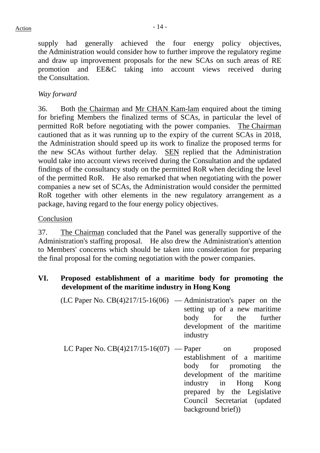supply had generally achieved the four energy policy objectives, the Administration would consider how to further improve the regulatory regime and draw up improvement proposals for the new SCAs on such areas of RE promotion and EE&C taking into account views received during the Consultation.

# *Way forward*

36. Both the Chairman and Mr CHAN Kam-lam enquired about the timing for briefing Members the finalized terms of SCAs, in particular the level of permitted RoR before negotiating with the power companies. The Chairman cautioned that as it was running up to the expiry of the current SCAs in 2018, the Administration should speed up its work to finalize the proposed terms for the new SCAs without further delay. SEN replied that the Administration would take into account views received during the Consultation and the updated findings of the consultancy study on the permitted RoR when deciding the level of the permitted RoR. He also remarked that when negotiating with the power companies a new set of SCAs, the Administration would consider the permitted RoR together with other elements in the new regulatory arrangement as a package, having regard to the four energy policy objectives.

## Conclusion

37. The Chairman concluded that the Panel was generally supportive of the Administration's staffing proposal. He also drew the Administration's attention to Members' concerns which should be taken into consideration for preparing the final proposal for the coming negotiation with the power companies.

## **VI. Proposed establishment of a maritime body for promoting the development of the maritime industry in Hong Kong**

| (LC Paper No. $CB(4)217/15-16(06)$ — Administration's paper on the |
|--------------------------------------------------------------------|
| setting up of a new maritime                                       |
| body for the further                                               |
| development of the maritime                                        |
| industry                                                           |
|                                                                    |

LC Paper No.  $CB(4)217/15-16(07)$  — Paper on proposed establishment of a maritime body for promoting the development of the maritime industry in Hong Kong prepared by the Legislative Council Secretariat (updated background brief))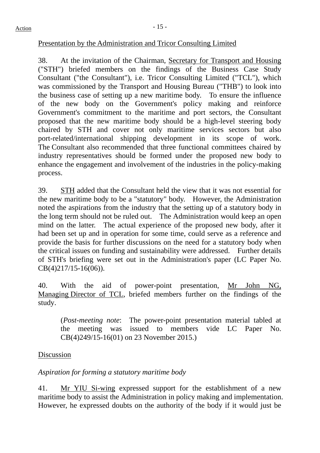## Presentation by the Administration and Tricor Consulting Limited

38. At the invitation of the Chairman, Secretary for Transport and Housing ("STH") briefed members on the findings of the Business Case Study Consultant ("the Consultant"), i.e. Tricor Consulting Limited ("TCL"), which was commissioned by the Transport and Housing Bureau ("THB") to look into the business case of setting up a new maritime body. To ensure the influence of the new body on the Government's policy making and reinforce Government's commitment to the maritime and port sectors, the Consultant proposed that the new maritime body should be a high-level steering body chaired by STH and cover not only maritime services sectors but also port-related/international shipping development in its scope of work. The Consultant also recommended that three functional committees chaired by industry representatives should be formed under the proposed new body to enhance the engagement and involvement of the industries in the policy-making process.

39. STH added that the Consultant held the view that it was not essential for the new maritime body to be a "statutory" body. However, the Administration noted the aspirations from the industry that the setting up of a statutory body in the long term should not be ruled out. The Administration would keep an open mind on the latter. The actual experience of the proposed new body, after it had been set up and in operation for some time, could serve as a reference and provide the basis for further discussions on the need for a statutory body when the critical issues on funding and sustainability were addressed. Further details of STH's briefing were set out in the Administration's paper (LC Paper No. CB(4)217/15-16(06)).

40. With the aid of power-point presentation, Mr John NG, Managing Director of TCL, briefed members further on the findings of the study.

(*Post-meeting note*: The power-point presentation material tabled at the meeting was issued to members vide LC Paper No. CB(4)249/15-16(01) on 23 November 2015.)

## Discussion

*Aspiration for forming a statutory maritime body* 

41. Mr YIU Si-wing expressed support for the establishment of a new maritime body to assist the Administration in policy making and implementation. However, he expressed doubts on the authority of the body if it would just be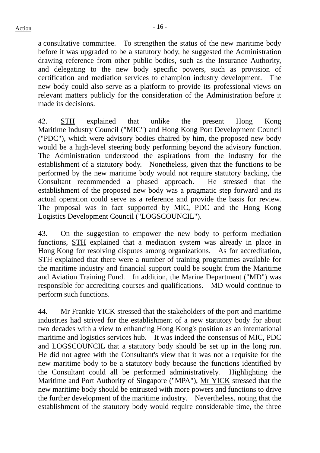a consultative committee. To strengthen the status of the new maritime body before it was upgraded to be a statutory body, he suggested the Administration drawing reference from other public bodies, such as the Insurance Authority, and delegating to the new body specific powers, such as provision of certification and mediation services to champion industry development. The new body could also serve as a platform to provide its professional views on relevant matters publicly for the consideration of the Administration before it made its decisions.

42. STH explained that unlike the present Hong Kong Maritime Industry Council ("MIC") and Hong Kong Port Development Council ("PDC"), which were advisory bodies chaired by him, the proposed new body would be a high-level steering body performing beyond the advisory function. The Administration understood the aspirations from the industry for the establishment of a statutory body. Nonetheless, given that the functions to be performed by the new maritime body would not require statutory backing, the Consultant recommended a phased approach. He stressed that the establishment of the proposed new body was a pragmatic step forward and its actual operation could serve as a reference and provide the basis for review. The proposal was in fact supported by MIC, PDC and the Hong Kong Logistics Development Council ("LOGSCOUNCIL").

43. On the suggestion to empower the new body to perform mediation functions, STH explained that a mediation system was already in place in Hong Kong for resolving disputes among organizations. As for accreditation, STH explained that there were a number of training programmes available for the maritime industry and financial support could be sought from the Maritime and Aviation Training Fund. In addition, the Marine Department ("MD") was responsible for accrediting courses and qualifications. MD would continue to perform such functions.

44. Mr Frankie YICK stressed that the stakeholders of the port and maritime industries had strived for the establishment of a new statutory body for about two decades with a view to enhancing Hong Kong's position as an international maritime and logistics services hub. It was indeed the consensus of MIC, PDC and LOGSCOUNCIL that a statutory body should be set up in the long run. He did not agree with the Consultant's view that it was not a requisite for the new maritime body to be a statutory body because the functions identified by the Consultant could all be performed administratively. Highlighting the Maritime and Port Authority of Singapore ("MPA"), Mr YICK stressed that the new maritime body should be entrusted with more powers and functions to drive the further development of the maritime industry. Nevertheless, noting that the establishment of the statutory body would require considerable time, the three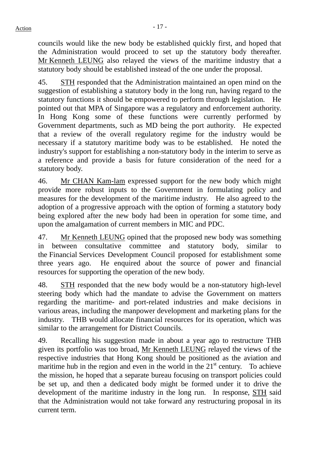councils would like the new body be established quickly first, and hoped that the Administration would proceed to set up the statutory body thereafter. Mr Kenneth LEUNG also relayed the views of the maritime industry that a statutory body should be established instead of the one under the proposal.

45. STH responded that the Administration maintained an open mind on the suggestion of establishing a statutory body in the long run, having regard to the statutory functions it should be empowered to perform through legislation. He pointed out that MPA of Singapore was a regulatory and enforcement authority. In Hong Kong some of these functions were currently performed by Government departments, such as MD being the port authority. He expected that a review of the overall regulatory regime for the industry would be necessary if a statutory maritime body was to be established. He noted the industry's support for establishing a non-statutory body in the interim to serve as a reference and provide a basis for future consideration of the need for a statutory body.

46. Mr CHAN Kam-lam expressed support for the new body which might provide more robust inputs to the Government in formulating policy and measures for the development of the maritime industry. He also agreed to the adoption of a progressive approach with the option of forming a statutory body being explored after the new body had been in operation for some time, and upon the amalgamation of current members in MIC and PDC.

47. Mr Kenneth LEUNG opined that the proposed new body was something in between consultative committee and statutory body, similar to the Financial Services Development Council proposed for establishment some three years ago. He enquired about the source of power and financial resources for supporting the operation of the new body.

48. STH responded that the new body would be a non-statutory high-level steering body which had the mandate to advise the Government on matters regarding the maritime- and port-related industries and make decisions in various areas, including the manpower development and marketing plans for the industry. THB would allocate financial resources for its operation, which was similar to the arrangement for District Councils.

49. Recalling his suggestion made in about a year ago to restructure THB given its portfolio was too broad, Mr Kenneth LEUNG relayed the views of the respective industries that Hong Kong should be positioned as the aviation and maritime hub in the region and even in the world in the  $21<sup>st</sup>$  century. To achieve the mission, he hoped that a separate bureau focusing on transport policies could be set up, and then a dedicated body might be formed under it to drive the development of the maritime industry in the long run. In response, STH said that the Administration would not take forward any restructuring proposal in its current term.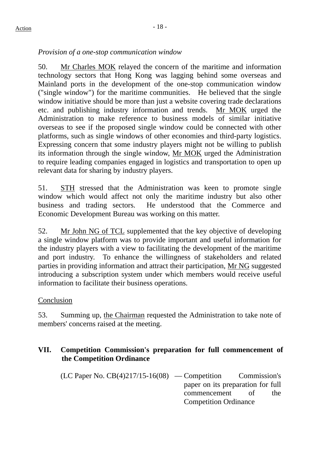## *Provision of a one-stop communication window*

50. Mr Charles MOK relayed the concern of the maritime and information technology sectors that Hong Kong was lagging behind some overseas and Mainland ports in the development of the one-stop communication window ("single window") for the maritime communities. He believed that the single window initiative should be more than just a website covering trade declarations etc. and publishing industry information and trends. Mr MOK urged the Administration to make reference to business models of similar initiative overseas to see if the proposed single window could be connected with other platforms, such as single windows of other economies and third-party logistics. Expressing concern that some industry players might not be willing to publish its information through the single window, Mr MOK urged the Administration to require leading companies engaged in logistics and transportation to open up relevant data for sharing by industry players.

51. STH stressed that the Administration was keen to promote single window which would affect not only the maritime industry but also other business and trading sectors. He understood that the Commerce and Economic Development Bureau was working on this matter.

52. Mr John NG of TCL supplemented that the key objective of developing a single window platform was to provide important and useful information for the industry players with a view to facilitating the development of the maritime and port industry. To enhance the willingness of stakeholders and related parties in providing information and attract their participation, Mr NG suggested introducing a subscription system under which members would receive useful information to facilitate their business operations.

# Conclusion

53. Summing up, the Chairman requested the Administration to take note of members' concerns raised at the meeting.

## **VII. Competition Commission's preparation for full commencement of the Competition Ordinance**

 $(LC$  Paper No.  $CB(4)217/15-16(08)$  — Competition Commission's paper on its preparation for full commencement of the Competition Ordinance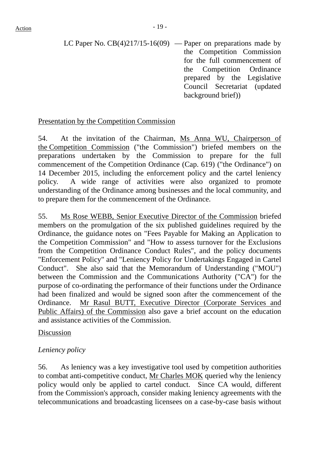LC Paper No.  $CB(4)217/15-16(09)$  — Paper on preparations made by the Competition Commission for the full commencement of the Competition Ordinance prepared by the Legislative Council Secretariat (updated background brief))

## Presentation by the Competition Commission

54. At the invitation of the Chairman, Ms Anna WU, Chairperson of the Competition Commission ("the Commission") briefed members on the preparations undertaken by the Commission to prepare for the full commencement of the Competition Ordinance (Cap. 619) ("the Ordinance") on 14 December 2015, including the enforcement policy and the cartel leniency policy. A wide range of activities were also organized to promote understanding of the Ordinance among businesses and the local community, and to prepare them for the commencement of the Ordinance.

55. Ms Rose WEBB, Senior Executive Director of the Commission briefed members on the promulgation of the six published guidelines required by the Ordinance, the guidance notes on "Fees Payable for Making an Application to the Competition Commission" and "How to assess turnover for the Exclusions from the Competition Ordinance Conduct Rules", and the policy documents "Enforcement Policy" and "Leniency Policy for Undertakings Engaged in Cartel Conduct". She also said that the Memorandum of Understanding ("MOU") between the Commission and the Communications Authority ("CA") for the purpose of co-ordinating the performance of their functions under the Ordinance had been finalized and would be signed soon after the commencement of the Ordinance. Mr Rasul BUTT, Executive Director (Corporate Services and Public Affairs) of the Commission also gave a brief account on the education and assistance activities of the Commission.

## Discussion

# *Leniency policy*

56. As leniency was a key investigative tool used by competition authorities to combat anti-competitive conduct, Mr Charles MOK queried why the leniency policy would only be applied to cartel conduct. Since CA would, different from the Commission's approach, consider making leniency agreements with the telecommunications and broadcasting licensees on a case-by-case basis without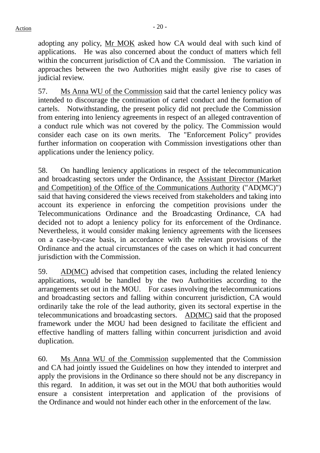adopting any policy, Mr MOK asked how CA would deal with such kind of applications. He was also concerned about the conduct of matters which fell within the concurrent jurisdiction of CA and the Commission. The variation in approaches between the two Authorities might easily give rise to cases of judicial review.

57. Ms Anna WU of the Commission said that the cartel leniency policy was intended to discourage the continuation of cartel conduct and the formation of cartels. Notwithstanding, the present policy did not preclude the Commission from entering into leniency agreements in respect of an alleged contravention of a conduct rule which was not covered by the policy. The Commission would consider each case on its own merits. The "Enforcement Policy" provides further information on cooperation with Commission investigations other than applications under the leniency policy.

58. On handling leniency applications in respect of the telecommunication and broadcasting sectors under the Ordinance, the Assistant Director (Market and Competition) of the Office of the Communications Authority ("AD(MC)") said that having considered the views received from stakeholders and taking into account its experience in enforcing the competition provisions under the Telecommunications Ordinance and the Broadcasting Ordinance, CA had decided not to adopt a leniency policy for its enforcement of the Ordinance. Nevertheless, it would consider making leniency agreements with the licensees on a case-by-case basis, in accordance with the relevant provisions of the Ordinance and the actual circumstances of the cases on which it had concurrent jurisdiction with the Commission.

59. AD(MC) advised that competition cases, including the related leniency applications, would be handled by the two Authorities according to the arrangements set out in the MOU. For cases involving the telecommunications and broadcasting sectors and falling within concurrent jurisdiction, CA would ordinarily take the role of the lead authority, given its sectoral expertise in the telecommunications and broadcasting sectors. AD(MC) said that the proposed framework under the MOU had been designed to facilitate the efficient and effective handling of matters falling within concurrent jurisdiction and avoid duplication.

60. Ms Anna WU of the Commission supplemented that the Commission and CA had jointly issued the Guidelines on how they intended to interpret and apply the provisions in the Ordinance so there should not be any discrepancy in this regard. In addition, it was set out in the MOU that both authorities would ensure a consistent interpretation and application of the provisions of the Ordinance and would not hinder each other in the enforcement of the law.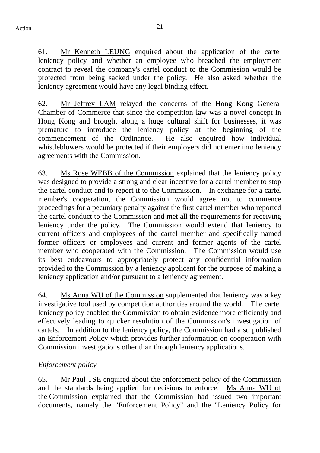61. Mr Kenneth LEUNG enquired about the application of the cartel leniency policy and whether an employee who breached the employment contract to reveal the company's cartel conduct to the Commission would be protected from being sacked under the policy. He also asked whether the leniency agreement would have any legal binding effect.

62. Mr Jeffrey LAM relayed the concerns of the Hong Kong General Chamber of Commerce that since the competition law was a novel concept in Hong Kong and brought along a huge cultural shift for businesses, it was premature to introduce the leniency policy at the beginning of the commencement of the Ordinance. He also enquired how individual whistleblowers would be protected if their employers did not enter into leniency agreements with the Commission.

63. Ms Rose WEBB of the Commission explained that the leniency policy was designed to provide a strong and clear incentive for a cartel member to stop the cartel conduct and to report it to the Commission. In exchange for a cartel member's cooperation, the Commission would agree not to commence proceedings for a pecuniary penalty against the first cartel member who reported the cartel conduct to the Commission and met all the requirements for receiving leniency under the policy. The Commission would extend that leniency to current officers and employees of the cartel member and specifically named former officers or employees and current and former agents of the cartel member who cooperated with the Commission. The Commission would use its best endeavours to appropriately protect any confidential information provided to the Commission by a leniency applicant for the purpose of making a leniency application and/or pursuant to a leniency agreement.

64. Ms Anna WU of the Commission supplemented that leniency was a key investigative tool used by competition authorities around the world. The cartel leniency policy enabled the Commission to obtain evidence more efficiently and effectively leading to quicker resolution of the Commission's investigation of cartels. In addition to the leniency policy, the Commission had also published an Enforcement Policy which provides further information on cooperation with Commission investigations other than through leniency applications.

# *Enforcement policy*

65. Mr Paul TSE enquired about the enforcement policy of the Commission and the standards being applied for decisions to enforce. Ms Anna WU of the Commission explained that the Commission had issued two important documents, namely the "Enforcement Policy" and the "Leniency Policy for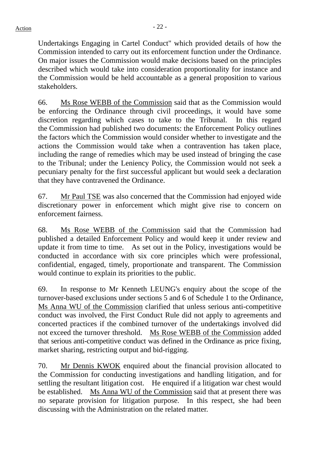Undertakings Engaging in Cartel Conduct" which provided details of how the Commission intended to carry out its enforcement function under the Ordinance. On major issues the Commission would make decisions based on the principles described which would take into consideration proportionality for instance and the Commission would be held accountable as a general proposition to various stakeholders.

66. Ms Rose WEBB of the Commission said that as the Commission would be enforcing the Ordinance through civil proceedings, it would have some discretion regarding which cases to take to the Tribunal. In this regard the Commission had published two documents: the Enforcement Policy outlines the factors which the Commission would consider whether to investigate and the actions the Commission would take when a contravention has taken place, including the range of remedies which may be used instead of bringing the case to the Tribunal; under the Leniency Policy, the Commission would not seek a pecuniary penalty for the first successful applicant but would seek a declaration that they have contravened the Ordinance.

67. Mr Paul TSE was also concerned that the Commission had enjoyed wide discretionary power in enforcement which might give rise to concern on enforcement fairness.

68. Ms Rose WEBB of the Commission said that the Commission had published a detailed Enforcement Policy and would keep it under review and update it from time to time. As set out in the Policy, investigations would be conducted in accordance with six core principles which were professional, confidential, engaged, timely, proportionate and transparent. The Commission would continue to explain its priorities to the public.

69. In response to Mr Kenneth LEUNG's enquiry about the scope of the turnover-based exclusions under sections 5 and 6 of Schedule 1 to the Ordinance, Ms Anna WU of the Commission clarified that unless serious anti-competitive conduct was involved, the First Conduct Rule did not apply to agreements and concerted practices if the combined turnover of the undertakings involved did not exceed the turnover threshold. Ms Rose WEBB of the Commission added that serious anti-competitive conduct was defined in the Ordinance as price fixing, market sharing, restricting output and bid-rigging.

70. Mr Dennis KWOK enquired about the financial provision allocated to the Commission for conducting investigations and handling litigation, and for settling the resultant litigation cost. He enquired if a litigation war chest would be established. Ms Anna WU of the Commission said that at present there was no separate provision for litigation purpose. In this respect, she had been discussing with the Administration on the related matter.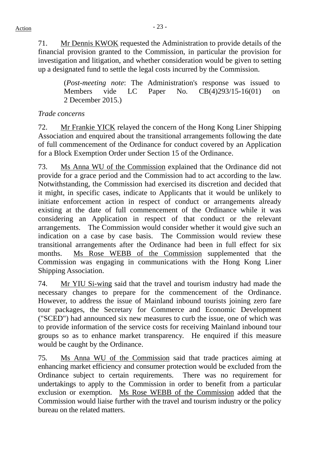71. Mr Dennis KWOK requested the Administration to provide details of the financial provision granted to the Commission, in particular the provision for investigation and litigation, and whether consideration would be given to setting up a designated fund to settle the legal costs incurred by the Commission.

> (*Post-meeting note*: The Administration's response was issued to Members vide LC Paper No. CB(4)293/15-16(01) on 2 December 2015.)

# *Trade concerns*

72. Mr Frankie YICK relayed the concern of the Hong Kong Liner Shipping Association and enquired about the transitional arrangements following the date of full commencement of the Ordinance for conduct covered by an Application for a Block Exemption Order under Section 15 of the Ordinance.

73. Ms Anna WU of the Commission explained that the Ordinance did not provide for a grace period and the Commission had to act according to the law. Notwithstanding, the Commission had exercised its discretion and decided that it might, in specific cases, indicate to Applicants that it would be unlikely to initiate enforcement action in respect of conduct or arrangements already existing at the date of full commencement of the Ordinance while it was considering an Application in respect of that conduct or the relevant arrangements. The Commission would consider whether it would give such an indication on a case by case basis. The Commission would review these transitional arrangements after the Ordinance had been in full effect for six months. Ms Rose WEBB of the Commission supplemented that the Commission was engaging in communications with the Hong Kong Liner Shipping Association.

74. Mr YIU Si-wing said that the travel and tourism industry had made the necessary changes to prepare for the commencement of the Ordinance. However, to address the issue of Mainland inbound tourists joining zero fare tour packages, the Secretary for Commerce and Economic Development ("SCED") had announced six new measures to curb the issue, one of which was to provide information of the service costs for receiving Mainland inbound tour groups so as to enhance market transparency. He enquired if this measure would be caught by the Ordinance.

75. Ms Anna WU of the Commission said that trade practices aiming at enhancing market efficiency and consumer protection would be excluded from the Ordinance subject to certain requirements. There was no requirement for undertakings to apply to the Commission in order to benefit from a particular exclusion or exemption. Ms Rose WEBB of the Commission added that the Commission would liaise further with the travel and tourism industry or the policy bureau on the related matters.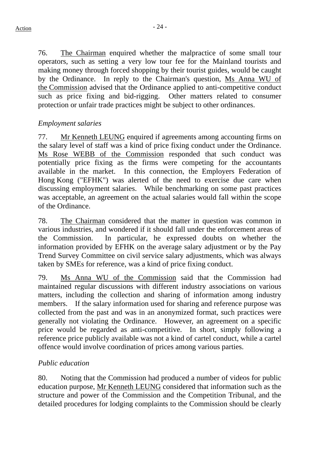76. The Chairman enquired whether the malpractice of some small tour operators, such as setting a very low tour fee for the Mainland tourists and making money through forced shopping by their tourist guides, would be caught by the Ordinance. In reply to the Chairman's question, Ms Anna WU of the Commission advised that the Ordinance applied to anti-competitive conduct such as price fixing and bid-rigging. Other matters related to consumer protection or unfair trade practices might be subject to other ordinances.

## *Employment salaries*

77. Mr Kenneth LEUNG enquired if agreements among accounting firms on the salary level of staff was a kind of price fixing conduct under the Ordinance. Ms Rose WEBB of the Commission responded that such conduct was potentially price fixing as the firms were competing for the accountants available in the market. In this connection, the Employers Federation of Hong Kong ("EFHK") was alerted of the need to exercise due care when discussing employment salaries. While benchmarking on some past practices was acceptable, an agreement on the actual salaries would fall within the scope of the Ordinance.

78. The Chairman considered that the matter in question was common in various industries, and wondered if it should fall under the enforcement areas of the Commission. In particular, he expressed doubts on whether the information provided by EFHK on the average salary adjustment or by the Pay Trend Survey Committee on civil service salary adjustments, which was always taken by SMEs for reference, was a kind of price fixing conduct.

79. Ms Anna WU of the Commission said that the Commission had maintained regular discussions with different industry associations on various matters, including the collection and sharing of information among industry members. If the salary information used for sharing and reference purpose was collected from the past and was in an anonymized format, such practices were generally not violating the Ordinance. However, an agreement on a specific price would be regarded as anti-competitive. In short, simply following a reference price publicly available was not a kind of cartel conduct, while a cartel offence would involve coordination of prices among various parties.

## *Public education*

80. Noting that the Commission had produced a number of videos for public education purpose, Mr Kenneth LEUNG considered that information such as the structure and power of the Commission and the Competition Tribunal, and the detailed procedures for lodging complaints to the Commission should be clearly